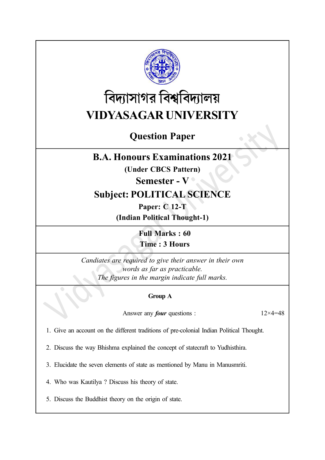

# বিদ্যাসাগর বিশ্ববিদ্যালয় VIDYASAGAR UNIVERSITY

## Question Paper

### B.A. Honours Examinations 2021

(Under CBCS Pattern)

#### Semester - V

## Subject: POLITICAL SCIENCE

Paper: C 12-T (Indian Political Thought-1)

> Full Marks : 60 Time : 3 Hours

Candiates are required to give their answer in their own words as far as practicable. The figures in the margin indicate full marks.

#### Group A

Answer any *four* questions :  $12 \times 4 = 48$ 

1. Give an account on the different traditions of pre-colonial Indian Political Thought.

2. Discuss the way Bhishma explained the concept of statecraft to Yudhisthira.

3. Elucidate the seven elements of state as mentioned by Manu in Manusmriti.

4. Who was Kautilya ? Discuss his theory of state.

5. Discuss the Buddhist theory on the origin of state.